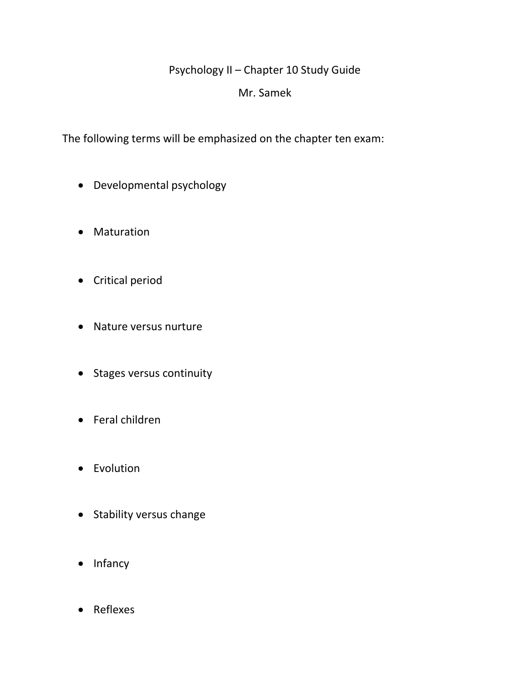## Psychology II – Chapter 10 Study Guide

## Mr. Samek

The following terms will be emphasized on the chapter ten exam:

- Developmental psychology
- Maturation
- Critical period
- Nature versus nurture
- Stages versus continuity
- Feral children
- Evolution
- Stability versus change
- Infancy
- Reflexes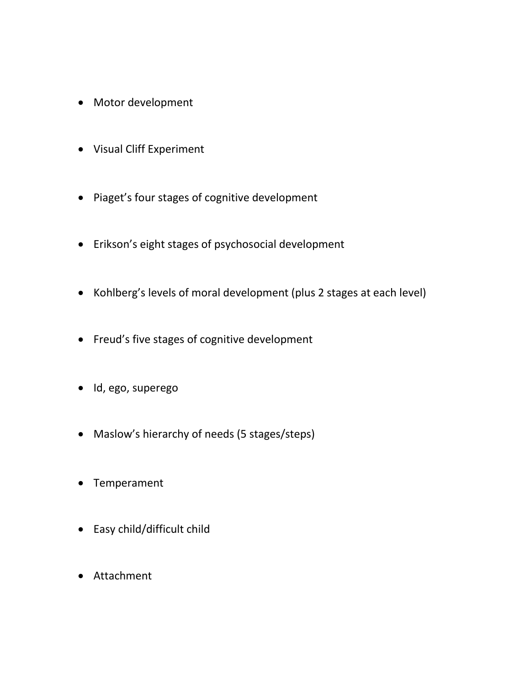- Motor development
- Visual Cliff Experiment
- Piaget's four stages of cognitive development
- Erikson's eight stages of psychosocial development
- Kohlberg's levels of moral development (plus 2 stages at each level)
- Freud's five stages of cognitive development
- · Id, ego, superego
- Maslow's hierarchy of needs (5 stages/steps)
- Temperament
- Easy child/difficult child
- Attachment